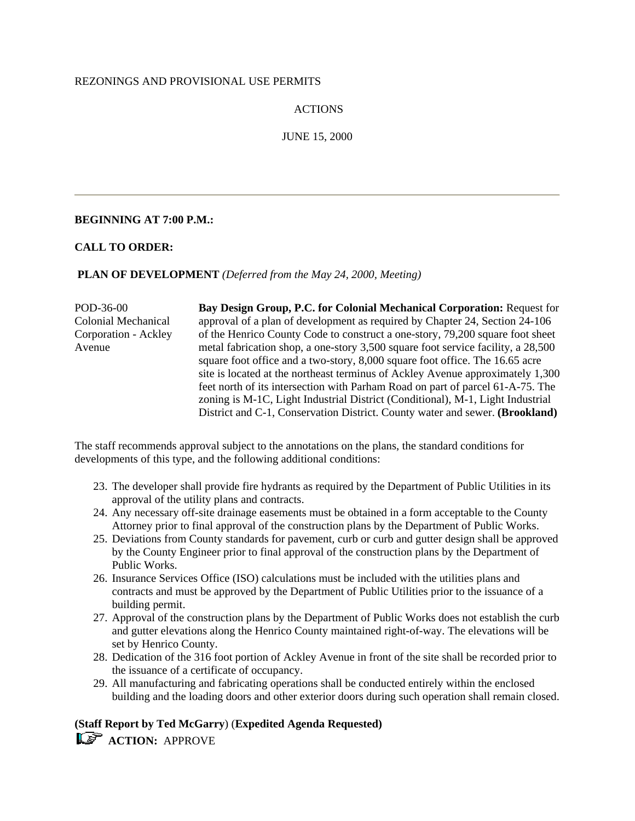### REZONINGS AND PROVISIONAL USE PERMITS

## ACTIONS

## JUNE 15, 2000

## **BEGINNING AT 7:00 P.M.:**

## **CALL TO ORDER:**

#### **PLAN OF DEVELOPMENT** *(Deferred from the May 24, 2000, Meeting)*

POD-36-00 Colonial Mechanical Corporation - Ackley Avenue

**Bay Design Group, P.C. for Colonial Mechanical Corporation:** Request for approval of a plan of development as required by Chapter 24, Section 24-106 of the Henrico County Code to construct a one-story, 79,200 square foot sheet metal fabrication shop, a one-story 3,500 square foot service facility, a 28,500 square foot office and a two-story, 8,000 square foot office. The 16.65 acre site is located at the northeast terminus of Ackley Avenue approximately 1,300 feet north of its intersection with Parham Road on part of parcel 61-A-75. The zoning is M-1C, Light Industrial District (Conditional), M-1, Light Industrial District and C-1, Conservation District. County water and sewer. **(Brookland)**

The staff recommends approval subject to the annotations on the plans, the standard conditions for developments of this type, and the following additional conditions:

- 23. The developer shall provide fire hydrants as required by the Department of Public Utilities in its approval of the utility plans and contracts.
- 24. Any necessary off-site drainage easements must be obtained in a form acceptable to the County Attorney prior to final approval of the construction plans by the Department of Public Works.
- 25. Deviations from County standards for pavement, curb or curb and gutter design shall be approved by the County Engineer prior to final approval of the construction plans by the Department of Public Works.
- 26. Insurance Services Office (ISO) calculations must be included with the utilities plans and contracts and must be approved by the Department of Public Utilities prior to the issuance of a building permit.
- 27. Approval of the construction plans by the Department of Public Works does not establish the curb and gutter elevations along the Henrico County maintained right-of-way. The elevations will be set by Henrico County.
- 28. Dedication of the 316 foot portion of Ackley Avenue in front of the site shall be recorded prior to the issuance of a certificate of occupancy.
- 29. All manufacturing and fabricating operations shall be conducted entirely within the enclosed building and the loading doors and other exterior doors during such operation shall remain closed.

## **(Staff Report by Ted McGarry**) (**Expedited Agenda Requested) ACTION: APPROVE**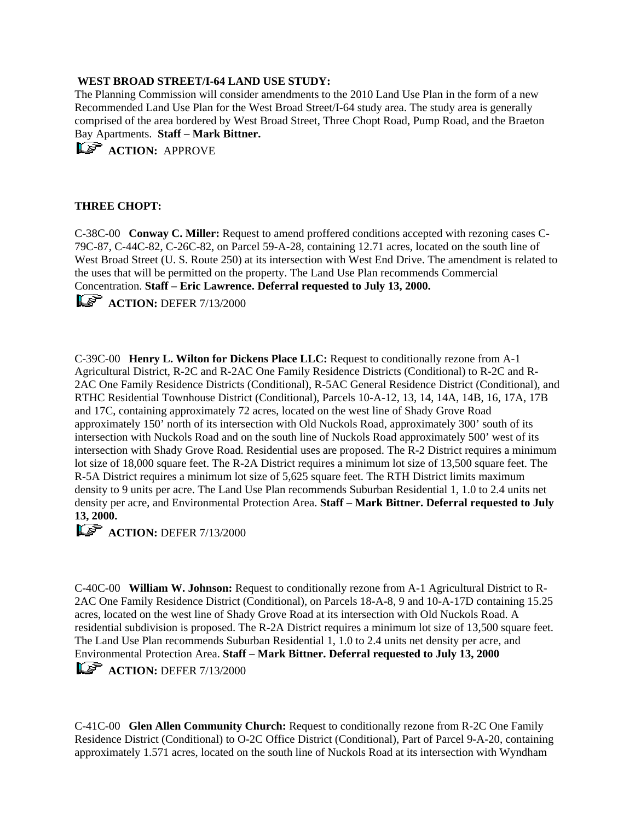## **WEST BROAD STREET/I-64 LAND USE STUDY:**

The Planning Commission will consider amendments to the 2010 Land Use Plan in the form of a new Recommended Land Use Plan for the West Broad Street/I-64 study area. The study area is generally comprised of the area bordered by West Broad Street, Three Chopt Road, Pump Road, and the Braeton Bay Apartments. **Staff – Mark Bittner.**

**ACTION: APPROVE** 

## **THREE CHOPT:**

C-38C-00 **Conway C. Miller:** Request to amend proffered conditions accepted with rezoning cases C-79C-87, C-44C-82, C-26C-82, on Parcel 59-A-28, containing 12.71 acres, located on the south line of West Broad Street (U. S. Route 250) at its intersection with West End Drive. The amendment is related to the uses that will be permitted on the property. The Land Use Plan recommends Commercial Concentration. **Staff – Eric Lawrence. Deferral requested to July 13, 2000.**

**LS** ACTION: DEFER 7/13/2000

C-39C-00 **Henry L. Wilton for Dickens Place LLC:** Request to conditionally rezone from A-1 Agricultural District, R-2C and R-2AC One Family Residence Districts (Conditional) to R-2C and R-2AC One Family Residence Districts (Conditional), R-5AC General Residence District (Conditional), and RTHC Residential Townhouse District (Conditional), Parcels 10-A-12, 13, 14, 14A, 14B, 16, 17A, 17B and 17C, containing approximately 72 acres, located on the west line of Shady Grove Road approximately 150' north of its intersection with Old Nuckols Road, approximately 300' south of its intersection with Nuckols Road and on the south line of Nuckols Road approximately 500' west of its intersection with Shady Grove Road. Residential uses are proposed. The R-2 District requires a minimum lot size of 18,000 square feet. The R-2A District requires a minimum lot size of 13,500 square feet. The R-5A District requires a minimum lot size of 5,625 square feet. The RTH District limits maximum density to 9 units per acre. The Land Use Plan recommends Suburban Residential 1, 1.0 to 2.4 units net density per acre, and Environmental Protection Area. **Staff – Mark Bittner. Deferral requested to July 13, 2000.**

## **ACTION:** DEFER 7/13/2000

C-40C-00 **William W. Johnson:** Request to conditionally rezone from A-1 Agricultural District to R-2AC One Family Residence District (Conditional), on Parcels 18-A-8, 9 and 10-A-17D containing 15.25 acres, located on the west line of Shady Grove Road at its intersection with Old Nuckols Road. A residential subdivision is proposed. The R-2A District requires a minimum lot size of 13,500 square feet. The Land Use Plan recommends Suburban Residential 1, 1.0 to 2.4 units net density per acre, and Environmental Protection Area. **Staff – Mark Bittner. Deferral requested to July 13, 2000**

**ACTION:** DEFER 7/13/2000

C-41C-00 **Glen Allen Community Church:** Request to conditionally rezone from R-2C One Family Residence District (Conditional) to O-2C Office District (Conditional), Part of Parcel 9-A-20, containing approximately 1.571 acres, located on the south line of Nuckols Road at its intersection with Wyndham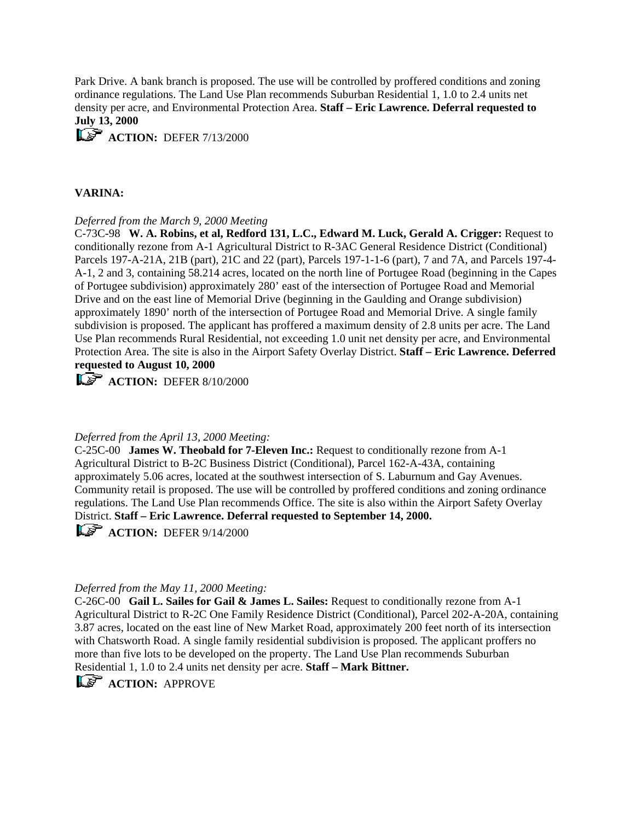Park Drive. A bank branch is proposed. The use will be controlled by proffered conditions and zoning ordinance regulations. The Land Use Plan recommends Suburban Residential 1, 1.0 to 2.4 units net density per acre, and Environmental Protection Area. **Staff – Eric Lawrence. Deferral requested to July 13, 2000**

**ACTION:** DEFER 7/13/2000

#### **VARINA:**

#### *Deferred from the March 9, 2000 Meeting*

C-73C-98 **W. A. Robins, et al, Redford 131, L.C., Edward M. Luck, Gerald A. Crigger:** Request to conditionally rezone from A-1 Agricultural District to R-3AC General Residence District (Conditional) Parcels 197-A-21A, 21B (part), 21C and 22 (part), Parcels 197-1-1-6 (part), 7 and 7A, and Parcels 197-4- A-1, 2 and 3, containing 58.214 acres, located on the north line of Portugee Road (beginning in the Capes of Portugee subdivision) approximately 280' east of the intersection of Portugee Road and Memorial Drive and on the east line of Memorial Drive (beginning in the Gaulding and Orange subdivision) approximately 1890' north of the intersection of Portugee Road and Memorial Drive. A single family subdivision is proposed. The applicant has proffered a maximum density of 2.8 units per acre. The Land Use Plan recommends Rural Residential, not exceeding 1.0 unit net density per acre, and Environmental Protection Area. The site is also in the Airport Safety Overlay District. **Staff – Eric Lawrence. Deferred requested to August 10, 2000**

**ACTION:** DEFER 8/10/2000

#### *Deferred from the April 13, 2000 Meeting:*

C-25C-00 **James W. Theobald for 7-Eleven Inc.:** Request to conditionally rezone from A-1 Agricultural District to B-2C Business District (Conditional), Parcel 162-A-43A, containing approximately 5.06 acres, located at the southwest intersection of S. Laburnum and Gay Avenues. Community retail is proposed. The use will be controlled by proffered conditions and zoning ordinance regulations. The Land Use Plan recommends Office. The site is also within the Airport Safety Overlay District. **Staff – Eric Lawrence. Deferral requested to September 14, 2000.**

**ACTION:** DEFER 9/14/2000

#### *Deferred from the May 11, 2000 Meeting:*

C-26C-00 **Gail L. Sailes for Gail & James L. Sailes:** Request to conditionally rezone from A-1 Agricultural District to R-2C One Family Residence District (Conditional), Parcel 202-A-20A, containing 3.87 acres, located on the east line of New Market Road, approximately 200 feet north of its intersection with Chatsworth Road. A single family residential subdivision is proposed. The applicant proffers no more than five lots to be developed on the property. The Land Use Plan recommends Suburban Residential 1, 1.0 to 2.4 units net density per acre. **Staff – Mark Bittner.**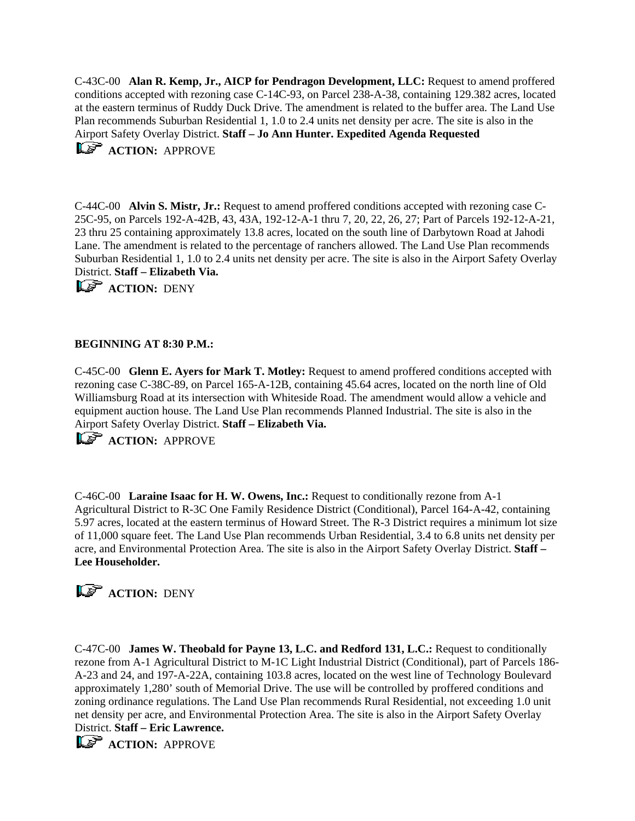C-43C-00 **Alan R. Kemp, Jr., AICP for Pendragon Development, LLC:** Request to amend proffered conditions accepted with rezoning case C-14C-93, on Parcel 238-A-38, containing 129.382 acres, located at the eastern terminus of Ruddy Duck Drive. The amendment is related to the buffer area. The Land Use Plan recommends Suburban Residential 1, 1.0 to 2.4 units net density per acre. The site is also in the Airport Safety Overlay District. **Staff – Jo Ann Hunter. Expedited Agenda Requested ACTION: APPROVE** 

C-44C-00 **Alvin S. Mistr, Jr.:** Request to amend proffered conditions accepted with rezoning case C-25C-95, on Parcels 192-A-42B, 43, 43A, 192-12-A-1 thru 7, 20, 22, 26, 27; Part of Parcels 192-12-A-21, 23 thru 25 containing approximately 13.8 acres, located on the south line of Darbytown Road at Jahodi Lane. The amendment is related to the percentage of ranchers allowed. The Land Use Plan recommends Suburban Residential 1, 1.0 to 2.4 units net density per acre. The site is also in the Airport Safety Overlay District. **Staff – Elizabeth Via.**

**ACTION: DENY** 

## **BEGINNING AT 8:30 P.M.:**

C-45C-00 **Glenn E. Ayers for Mark T. Motley:** Request to amend proffered conditions accepted with rezoning case C-38C-89, on Parcel 165-A-12B, containing 45.64 acres, located on the north line of Old Williamsburg Road at its intersection with Whiteside Road. The amendment would allow a vehicle and equipment auction house. The Land Use Plan recommends Planned Industrial. The site is also in the Airport Safety Overlay District. **Staff – Elizabeth Via.**

**ACTION: APPROVE** 

C-46C-00 **Laraine Isaac for H. W. Owens, Inc.:** Request to conditionally rezone from A-1 Agricultural District to R-3C One Family Residence District (Conditional), Parcel 164-A-42, containing 5.97 acres, located at the eastern terminus of Howard Street. The R-3 District requires a minimum lot size of 11,000 square feet. The Land Use Plan recommends Urban Residential, 3.4 to 6.8 units net density per acre, and Environmental Protection Area. The site is also in the Airport Safety Overlay District. **Staff – Lee Householder.**

# **ACTION: DENY**

C-47C-00 **James W. Theobald for Payne 13, L.C. and Redford 131, L.C.:** Request to conditionally rezone from A-1 Agricultural District to M-1C Light Industrial District (Conditional), part of Parcels 186- A-23 and 24, and 197-A-22A, containing 103.8 acres, located on the west line of Technology Boulevard approximately 1,280' south of Memorial Drive. The use will be controlled by proffered conditions and zoning ordinance regulations. The Land Use Plan recommends Rural Residential, not exceeding 1.0 unit net density per acre, and Environmental Protection Area. The site is also in the Airport Safety Overlay District. **Staff – Eric Lawrence.**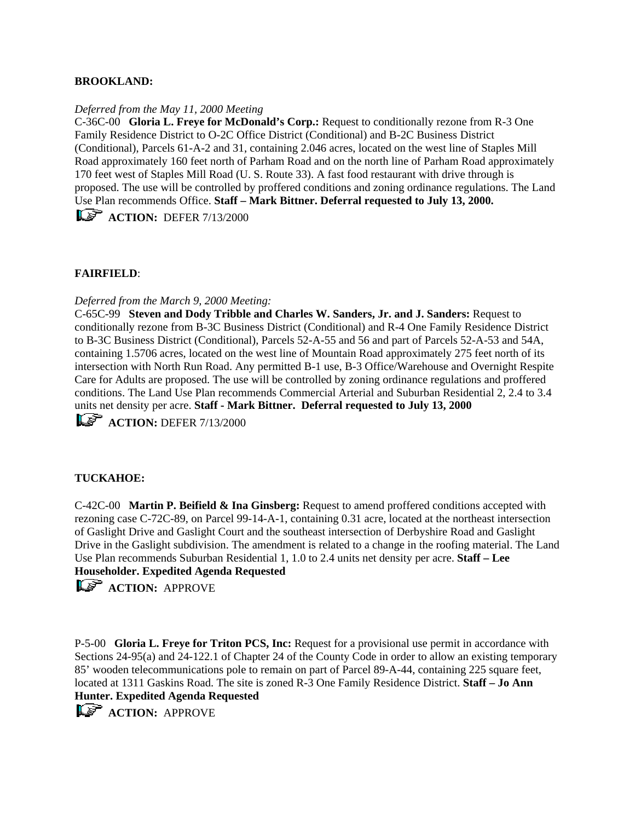## **BROOKLAND:**

#### *Deferred from the May 11, 2000 Meeting*

C-36C-00 **Gloria L. Freye for McDonald's Corp.:** Request to conditionally rezone from R-3 One Family Residence District to O-2C Office District (Conditional) and B-2C Business District (Conditional), Parcels 61-A-2 and 31, containing 2.046 acres, located on the west line of Staples Mill Road approximately 160 feet north of Parham Road and on the north line of Parham Road approximately 170 feet west of Staples Mill Road (U. S. Route 33). A fast food restaurant with drive through is proposed. The use will be controlled by proffered conditions and zoning ordinance regulations. The Land Use Plan recommends Office. **Staff – Mark Bittner. Deferral requested to July 13, 2000. ACTION:** DEFER 7/13/2000

## **FAIRFIELD**:

#### *Deferred from the March 9, 2000 Meeting:*

C-65C-99 **Steven and Dody Tribble and Charles W. Sanders, Jr. and J. Sanders:** Request to conditionally rezone from B-3C Business District (Conditional) and R-4 One Family Residence District to B-3C Business District (Conditional), Parcels 52-A-55 and 56 and part of Parcels 52-A-53 and 54A, containing 1.5706 acres, located on the west line of Mountain Road approximately 275 feet north of its intersection with North Run Road. Any permitted B-1 use, B-3 Office/Warehouse and Overnight Respite Care for Adults are proposed. The use will be controlled by zoning ordinance regulations and proffered conditions. The Land Use Plan recommends Commercial Arterial and Suburban Residential 2, 2.4 to 3.4 units net density per acre. **Staff - Mark Bittner. Deferral requested to July 13, 2000**

**ACTION:** DEFER 7/13/2000

#### **TUCKAHOE:**

C-42C-00 **Martin P. Beifield & Ina Ginsberg:** Request to amend proffered conditions accepted with rezoning case C-72C-89, on Parcel 99-14-A-1, containing 0.31 acre, located at the northeast intersection of Gaslight Drive and Gaslight Court and the southeast intersection of Derbyshire Road and Gaslight Drive in the Gaslight subdivision. The amendment is related to a change in the roofing material. The Land Use Plan recommends Suburban Residential 1, 1.0 to 2.4 units net density per acre. **Staff – Lee Householder. Expedited Agenda Requested**

**ACTION: APPROVE** 

P-5-00 **Gloria L. Freye for Triton PCS, Inc:** Request for a provisional use permit in accordance with Sections 24-95(a) and 24-122.1 of Chapter 24 of the County Code in order to allow an existing temporary 85' wooden telecommunications pole to remain on part of Parcel 89-A-44, containing 225 square feet, located at 1311 Gaskins Road. The site is zoned R-3 One Family Residence District. **Staff – Jo Ann Hunter. Expedited Agenda Requested**